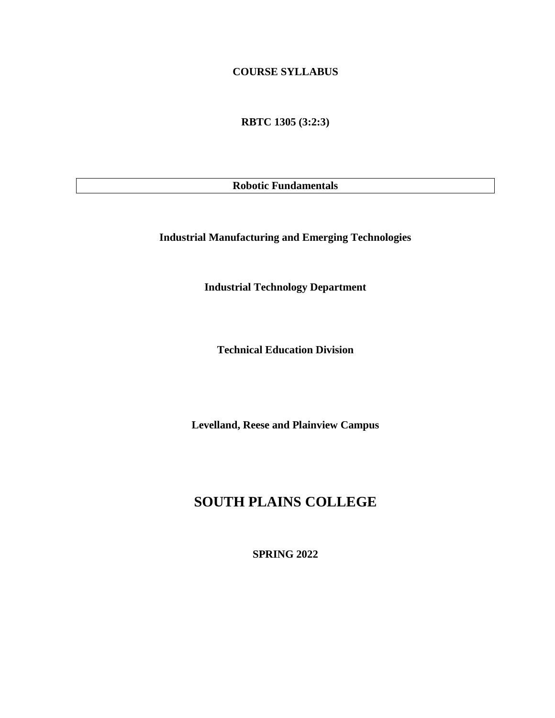### **COURSE SYLLABUS**

**RBTC 1305 (3:2:3)**

**Robotic Fundamentals**

**Industrial Manufacturing and Emerging Technologies**

**Industrial Technology Department**

**Technical Education Division**

**Levelland, Reese and Plainview Campus**

# **SOUTH PLAINS COLLEGE**

**SPRING 2022**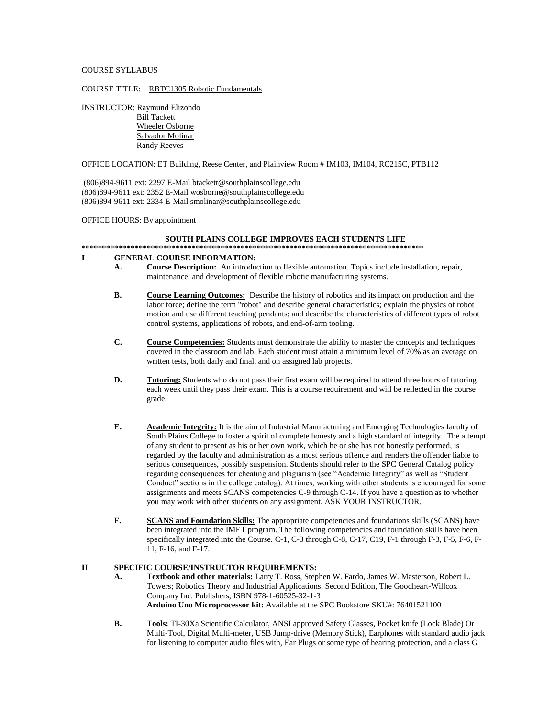#### COURSE SYLLABUS

#### COURSE TITLE: RBTC1305 Robotic Fundamentals

INSTRUCTOR: Raymund Elizondo

 Bill Tackett Wheeler Osborne Salvador Molinar Randy Reeves

#### OFFICE LOCATION: ET Building, Reese Center, and Plainview Room # IM103, IM104, RC215C, PTB112

(806)894-9611 ext: 2297 E-Mail btackett@southplainscollege.edu (806)894-9611 ext: 2352 E-Mail wosborne@southplainscollege.edu (806)894-9611 ext: 2334 E-Mail smolinar@southplainscollege.edu

OFFICE HOURS: By appointment

#### **SOUTH PLAINS COLLEGE IMPROVES EACH STUDENTS LIFE**

#### **\*\*\*\*\*\*\*\*\*\*\*\*\*\*\*\*\*\*\*\*\*\*\*\*\*\*\*\*\*\*\*\*\*\*\*\*\*\*\*\*\*\*\*\*\*\*\*\*\*\*\*\*\*\*\*\*\*\*\*\*\*\*\*\*\*\*\*\*\*\*\*\*\*\*\*\*\*\*\*\*\*\*\*\***

#### **I GENERAL COURSE INFORMATION:**

- **A. Course Description:** An introduction to flexible automation. Topics include installation, repair, maintenance, and development of flexible robotic manufacturing systems.
- **B. Course Learning Outcomes:** Describe the history of robotics and its impact on production and the labor force; define the term "robot" and describe general characteristics; explain the physics of robot motion and use different teaching pendants; and describe the characteristics of different types of robot control systems, applications of robots, and end-of-arm tooling.
- **C. Course Competencies:** Students must demonstrate the ability to master the concepts and techniques covered in the classroom and lab. Each student must attain a minimum level of 70% as an average on written tests, both daily and final, and on assigned lab projects.
- **D. Tutoring:** Students who do not pass their first exam will be required to attend three hours of tutoring each week until they pass their exam. This is a course requirement and will be reflected in the course grade.
- **E. Academic Integrity:** It is the aim of Industrial Manufacturing and Emerging Technologies faculty of South Plains College to foster a spirit of complete honesty and a high standard of integrity. The attempt of any student to present as his or her own work, which he or she has not honestly performed, is regarded by the faculty and administration as a most serious offence and renders the offender liable to serious consequences, possibly suspension. Students should refer to the SPC General Catalog policy regarding consequences for cheating and plagiarism (see "Academic Integrity" as well as "Student Conduct" sections in the college catalog). At times, working with other students is encouraged for some assignments and meets SCANS competencies C-9 through C-14. If you have a question as to whether you may work with other students on any assignment, ASK YOUR INSTRUCTOR.
- **F. SCANS and Foundation Skills:** The appropriate competencies and foundations skills (SCANS) have been integrated into the IMET program. The following competencies and foundation skills have been specifically integrated into the Course. C-1, C-3 through C-8, C-17, C19, F-1 through F-3, F-5, F-6, F-11, F-16, and F-17.

### **II SPECIFIC COURSE/INSTRUCTOR REQUIREMENTS:**

- **A. Textbook and other materials:** Larry T. Ross, Stephen W. Fardo, James W. Masterson, Robert L. Towers; Robotics Theory and Industrial Applications, Second Edition, The Goodheart-Willcox Company Inc. Publishers, ISBN 978-1-60525-32-1-3 **Arduino Uno Microprocessor kit:** Available at the SPC Bookstore SKU#: 76401521100
- **B. Tools:** TI-30Xa Scientific Calculator, ANSI approved Safety Glasses, Pocket knife (Lock Blade) Or Multi-Tool, Digital Multi-meter, USB Jump-drive (Memory Stick), Earphones with standard audio jack for listening to computer audio files with, Ear Plugs or some type of hearing protection, and a class G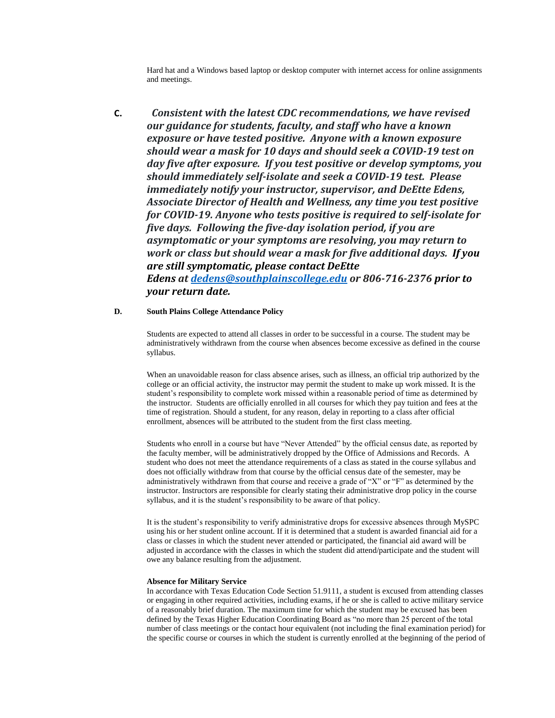Hard hat and a Windows based laptop or desktop computer with internet access for online assignments and meetings.

**C.** *Consistent with the latest CDC recommendations, we have revised our guidance for students, faculty, and staff who have a known exposure or have tested positive. Anyone with a known exposure should wear a mask for 10 days and should seek a COVID-19 test on day five after exposure. If you test positive or develop symptoms, you should immediately self-isolate and seek a COVID-19 test. Please immediately notify your instructor, supervisor, and DeEtte Edens, Associate Director of Health and Wellness, any time you test positive for COVID-19. Anyone who tests positive is required to self-isolate for five days. Following the five-day isolation period, if you are asymptomatic or your symptoms are resolving, you may return to work or class but should wear a mask for five additional days. If you are still symptomatic, please contact DeEtte Edens at [dedens@southplainscollege.edu](mailto:dedens@southplainscollege.edu) or 806-716-2376 prior to your return date.*

#### **D. South Plains College Attendance Policy**

Students are expected to attend all classes in order to be successful in a course. The student may be administratively withdrawn from the course when absences become excessive as defined in the course syllabus.

When an unavoidable reason for class absence arises, such as illness, an official trip authorized by the college or an official activity, the instructor may permit the student to make up work missed. It is the student's responsibility to complete work missed within a reasonable period of time as determined by the instructor. Students are officially enrolled in all courses for which they pay tuition and fees at the time of registration. Should a student, for any reason, delay in reporting to a class after official enrollment, absences will be attributed to the student from the first class meeting.

Students who enroll in a course but have "Never Attended" by the official census date, as reported by the faculty member, will be administratively dropped by the Office of Admissions and Records. A student who does not meet the attendance requirements of a class as stated in the course syllabus and does not officially withdraw from that course by the official census date of the semester, may be administratively withdrawn from that course and receive a grade of "X" or "F" as determined by the instructor. Instructors are responsible for clearly stating their administrative drop policy in the course syllabus, and it is the student's responsibility to be aware of that policy.

It is the student's responsibility to verify administrative drops for excessive absences through MySPC using his or her student online account. If it is determined that a student is awarded financial aid for a class or classes in which the student never attended or participated, the financial aid award will be adjusted in accordance with the classes in which the student did attend/participate and the student will owe any balance resulting from the adjustment.

#### **Absence for Military Service**

In accordance with Texas Education Code Section 51.9111, a student is excused from attending classes or engaging in other required activities, including exams, if he or she is called to active military service of a reasonably brief duration. The maximum time for which the student may be excused has been defined by the Texas Higher Education Coordinating Board as "no more than 25 percent of the total number of class meetings or the contact hour equivalent (not including the final examination period) for the specific course or courses in which the student is currently enrolled at the beginning of the period of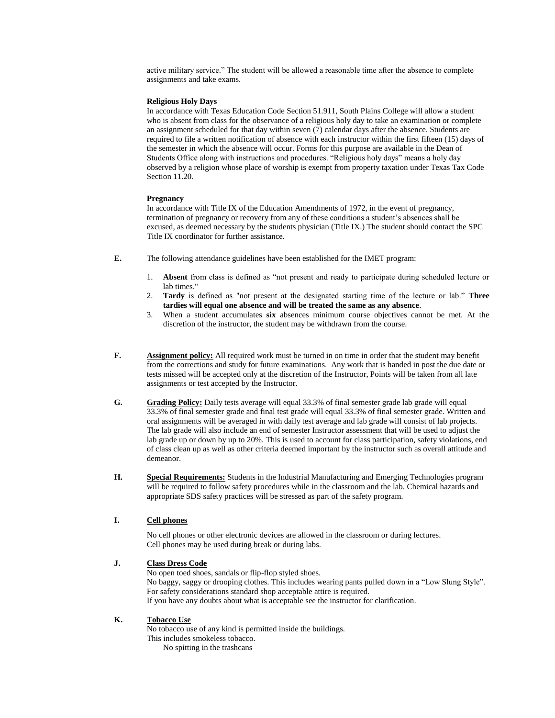active military service." The student will be allowed a reasonable time after the absence to complete assignments and take exams.

#### **Religious Holy Days**

In accordance with Texas Education Code Section 51.911, South Plains College will allow a student who is absent from class for the observance of a religious holy day to take an examination or complete an assignment scheduled for that day within seven (7) calendar days after the absence. Students are required to file a written notification of absence with each instructor within the first fifteen (15) days of the semester in which the absence will occur. Forms for this purpose are available in the Dean of Students Office along with instructions and procedures. "Religious holy days" means a holy day observed by a religion whose place of worship is exempt from property taxation under Texas Tax Code Section 11.20.

#### **Pregnancy**

In accordance with Title IX of the Education Amendments of 1972, in the event of pregnancy, termination of pregnancy or recovery from any of these conditions a student's absences shall be excused, as deemed necessary by the students physician (Title IX.) The student should contact the SPC Title IX coordinator for further assistance.

- **E.** The following attendance guidelines have been established for the IMET program:
	- 1. **Absent** from class is defined as "not present and ready to participate during scheduled lecture or lab times."
	- 2. **Tardy** is defined as "not present at the designated starting time of the lecture or lab." **Three tardies will equal one absence and will be treated the same as any absence**.
	- 3. When a student accumulates **six** absences minimum course objectives cannot be met. At the discretion of the instructor, the student may be withdrawn from the course.
- **F. Assignment policy:** All required work must be turned in on time in order that the student may benefit from the corrections and study for future examinations. Any work that is handed in post the due date or tests missed will be accepted only at the discretion of the Instructor, Points will be taken from all late assignments or test accepted by the Instructor.
- **G. Grading Policy:** Daily tests average will equal 33.3% of final semester grade lab grade will equal 33.3% of final semester grade and final test grade will equal 33.3% of final semester grade. Written and oral assignments will be averaged in with daily test average and lab grade will consist of lab projects. The lab grade will also include an end of semester Instructor assessment that will be used to adjust the lab grade up or down by up to 20%. This is used to account for class participation, safety violations, end of class clean up as well as other criteria deemed important by the instructor such as overall attitude and demeanor.
- **H. Special Requirements:** Students in the Industrial Manufacturing and Emerging Technologies program will be required to follow safety procedures while in the classroom and the lab. Chemical hazards and appropriate SDS safety practices will be stressed as part of the safety program.

#### **I. Cell phones**

No cell phones or other electronic devices are allowed in the classroom or during lectures. Cell phones may be used during break or during labs.

#### **J. Class Dress Code**

No open toed shoes, sandals or flip-flop styled shoes. No baggy, saggy or drooping clothes. This includes wearing pants pulled down in a "Low Slung Style". For safety considerations standard shop acceptable attire is required. If you have any doubts about what is acceptable see the instructor for clarification.

#### **K. Tobacco Use**

No tobacco use of any kind is permitted inside the buildings.

- This includes smokeless tobacco.
	- No spitting in the trashcans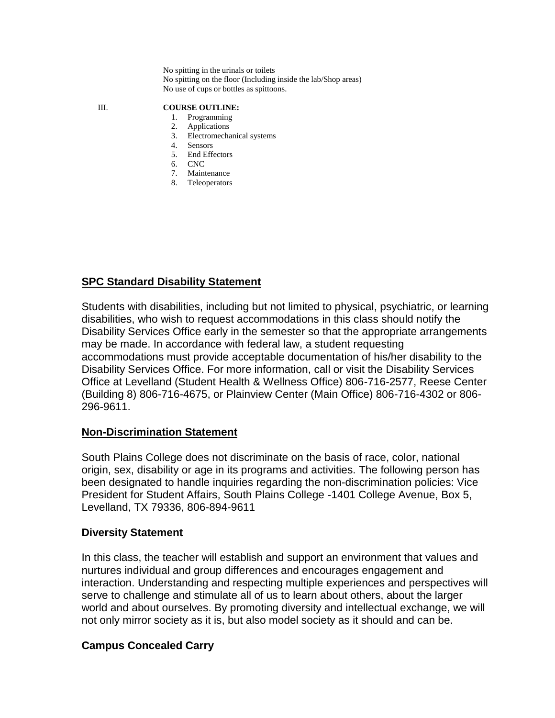No spitting in the urinals or toilets No spitting on the floor (Including inside the lab/Shop areas) No use of cups or bottles as spittoons.

### III. **COURSE OUTLINE:**

- 1. Programming
- 2. Applications
- 3. Electromechanical systems
- 4. Sensors
- 5. End Effectors
- 6. CNC
- 7. Maintenance 8. Teleoperators

### **SPC Standard Disability Statement**

Students with disabilities, including but not limited to physical, psychiatric, or learning disabilities, who wish to request accommodations in this class should notify the Disability Services Office early in the semester so that the appropriate arrangements may be made. In accordance with federal law, a student requesting accommodations must provide acceptable documentation of his/her disability to the Disability Services Office. For more information, call or visit the Disability Services Office at Levelland (Student Health & Wellness Office) 806-716-2577, Reese Center (Building 8) 806-716-4675, or Plainview Center (Main Office) 806-716-4302 or 806- 296-9611.

### **Non-Discrimination Statement**

South Plains College does not discriminate on the basis of race, color, national origin, sex, disability or age in its programs and activities. The following person has been designated to handle inquiries regarding the non-discrimination policies: Vice President for Student Affairs, South Plains College -1401 College Avenue, Box 5, Levelland, TX 79336, 806-894-9611

### **Diversity Statement**

In this class, the teacher will establish and support an environment that values and nurtures individual and group differences and encourages engagement and interaction. Understanding and respecting multiple experiences and perspectives will serve to challenge and stimulate all of us to learn about others, about the larger world and about ourselves. By promoting diversity and intellectual exchange, we will not only mirror society as it is, but also model society as it should and can be.

### **Campus Concealed Carry**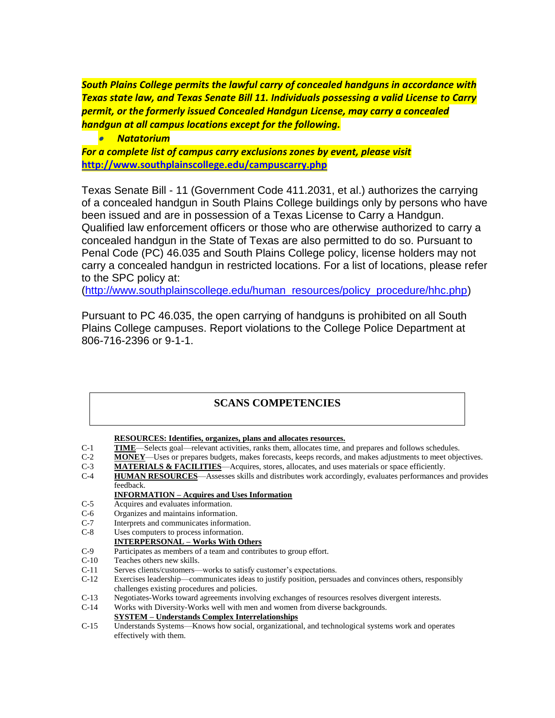*South Plains College permits the lawful carry of concealed handguns in accordance with Texas state law, and Texas Senate Bill 11. Individuals possessing a valid License to Carry permit, or the formerly issued Concealed Handgun License, may carry a concealed handgun at all campus locations except for the following.*

• *Natatorium*

*For a complete list of campus carry exclusions zones by event, please visit* **<http://www.southplainscollege.edu/campuscarry.php>**

Texas Senate Bill - 11 (Government Code 411.2031, et al.) authorizes the carrying of a concealed handgun in South Plains College buildings only by persons who have been issued and are in possession of a Texas License to Carry a Handgun. Qualified law enforcement officers or those who are otherwise authorized to carry a concealed handgun in the State of Texas are also permitted to do so. Pursuant to Penal Code (PC) 46.035 and South Plains College policy, license holders may not carry a concealed handgun in restricted locations. For a list of locations, please refer to the SPC policy at:

[\(http://www.southplainscollege.edu/human\\_resources/policy\\_procedure/hhc.php\)](http://www.southplainscollege.edu/human_resources/policy_procedure/hhc.php)

Pursuant to PC 46.035, the open carrying of handguns is prohibited on all South Plains College campuses. Report violations to the College Police Department at 806-716-2396 or 9-1-1.

### **SCANS COMPETENCIES**

**RESOURCES: Identifies, organizes, plans and allocates resources.**

- C-1 **TIME**—Selects goal—relevant activities, ranks them, allocates time, and prepares and follows schedules.
- C-2 **MONEY**—Uses or prepares budgets, makes forecasts, keeps records, and makes adjustments to meet objectives.
- C-3 **MATERIALS & FACILITIES**—Acquires, stores, allocates, and uses materials or space efficiently.
- C-4 **HUMAN RESOURCES**—Assesses skills and distributes work accordingly, evaluates performances and provides feedback.

### **INFORMATION – Acquires and Uses Information**

- C-5 Acquires and evaluates information.
- C-6 Organizes and maintains information.
- C-7 Interprets and communicates information.
- C-8 Uses computers to process information.
- **INTERPERSONAL – Works With Others**
- C-9 Participates as members of a team and contributes to group effort.
- C-10 Teaches others new skills.
- C-11 Serves clients/customers—works to satisfy customer's expectations.
- C-12 Exercises leadership—communicates ideas to justify position, persuades and convinces others, responsibly challenges existing procedures and policies.
- C-13 Negotiates-Works toward agreements involving exchanges of resources resolves divergent interests.
- C-14 Works with Diversity-Works well with men and women from diverse backgrounds.

**SYSTEM – Understands Complex Interrelationships**

C-15 Understands Systems—Knows how social, organizational, and technological systems work and operates effectively with them.